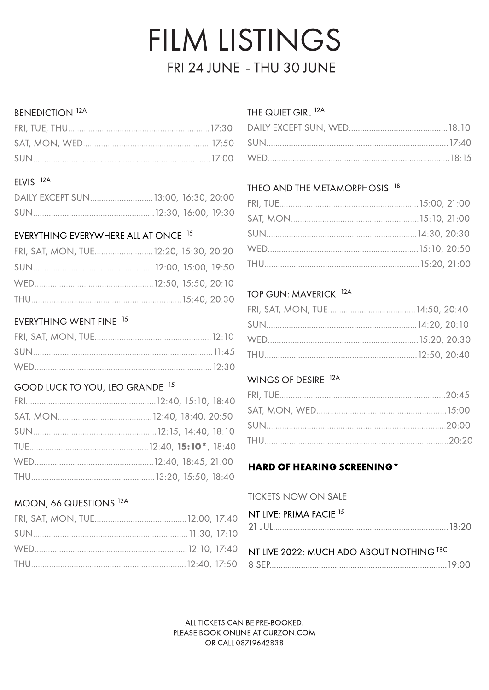# FILM LISTINGS FRI 24 JUNE - THU 30 JUNE

#### **BENEDICTION 12A**

#### ELVIS<sup>12A</sup>

# EVERYTHING EVERYWHERE ALL AT ONCE 15

| FRI, SAT, MON, TUE 12:20, 15:30, 20:20 |  |
|----------------------------------------|--|
|                                        |  |
|                                        |  |
|                                        |  |

# EVERYTHING WENT FINE 15

# GOOD LUCK TO YOU, LEO GRANDE 15

# MOON, 66 QUESTIONS 12A

# THE QUIET GIRL <sup>12A</sup>

# THEO AND THE METAMORPHOSIS 18

#### TOP GUN: MAVERICK <sup>12A</sup>

#### WINGS OF DESIRE 12A

# **HARD OF HEARING SCREENING\***

#### **TICKETS NOW ON SALE**

| NT LIVE: PRIMA FACIE <sup>15</sup>       |  |
|------------------------------------------|--|
|                                          |  |
|                                          |  |
| NT LIVE 2022: MUCH ADO ABOUT NOTHING TBC |  |
|                                          |  |

ALL TICKETS CAN BE PRE-BOOKED. PLEASE BOOK ONLINE AT CURZON.COM OR CALL 08719642838